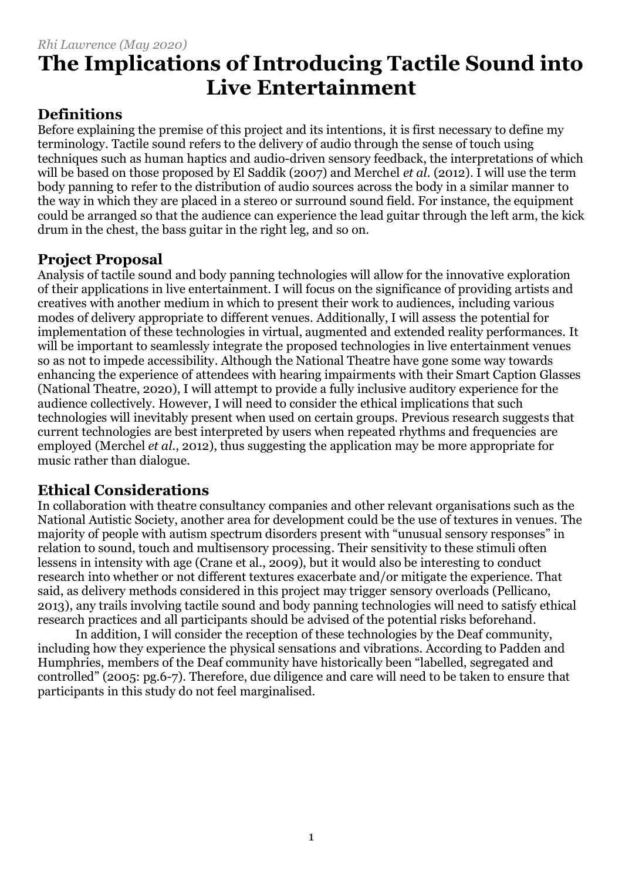## **Definitions**

Before explaining the premise of this project and its intentions, it is first necessary to define my terminology. Tactile sound refers to the delivery of audio through the sense of touch using techniques such as human haptics and audio-driven sensory feedback, the interpretations of which will be based on those proposed by El Saddik (2007) and Merchel *et al.* (2012). I will use the term body panning to refer to the distribution of audio sources across the body in a similar manner to the way in which they are placed in a stereo or surround sound field. For instance, the equipment could be arranged so that the audience can experience the lead guitar through the left arm, the kick drum in the chest, the bass guitar in the right leg, and so on.

## **Project Proposal**

Analysis of tactile sound and body panning technologies will allow for the innovative exploration of their applications in live entertainment. I will focus on the significance of providing artists and creatives with another medium in which to present their work to audiences, including various modes of delivery appropriate to different venues. Additionally, I will assess the potential for implementation of these technologies in virtual, augmented and extended reality performances. It will be important to seamlessly integrate the proposed technologies in live entertainment venues so as not to impede accessibility. Although the National Theatre have gone some way towards enhancing the experience of attendees with hearing impairments with their Smart Caption Glasses (National Theatre, 2020), I will attempt to provide a fully inclusive auditory experience for the audience collectively. However, I will need to consider the ethical implications that such technologies will inevitably present when used on certain groups. Previous research suggests that current technologies are best interpreted by users when repeated rhythms and frequencies are employed (Merchel *et al.*, 2012), thus suggesting the application may be more appropriate for music rather than dialogue.

## **Ethical Considerations**

In collaboration with theatre consultancy companies and other relevant organisations such as the National Autistic Society, another area for development could be the use of textures in venues. The majority of people with autism spectrum disorders present with "unusual sensory responses" in relation to sound, touch and multisensory processing. Their sensitivity to these stimuli often lessens in intensity with age (Crane et al., 2009), but it would also be interesting to conduct research into whether or not different textures exacerbate and/or mitigate the experience. That said, as delivery methods considered in this project may trigger sensory overloads (Pellicano, 2013), any trails involving tactile sound and body panning technologies will need to satisfy ethical research practices and all participants should be advised of the potential risks beforehand.

In addition, I will consider the reception of these technologies by the Deaf community, including how they experience the physical sensations and vibrations. According to Padden and Humphries, members of the Deaf community have historically been "labelled, segregated and controlled" (2005: pg.6-7). Therefore, due diligence and care will need to be taken to ensure that participants in this study do not feel marginalised.